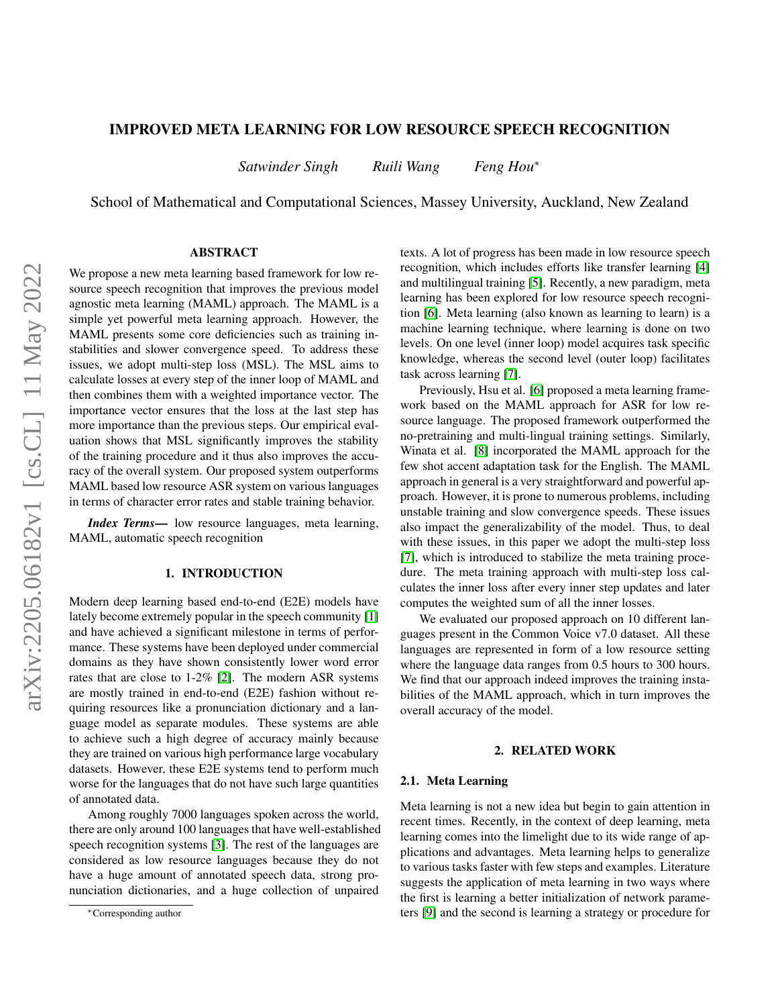# IMPROVED META LEARNING FOR LOW RESOURCE SPEECH RECOGNITION

*Satwinder Singh Ruili Wang Feng Hou*<sup>∗</sup>

School of Mathematical and Computational Sciences, Massey University, Auckland, New Zealand

# ABSTRACT

We propose a new meta learning based framework for low resource speech recognition that improves the previous model agnostic meta learning (MAML) approach. The MAML is a simple yet powerful meta learning approach. However, the MAML presents some core deficiencies such as training instabilities and slower convergence speed. To address these issues, we adopt multi-step loss (MSL). The MSL aims to calculate losses at every step of the inner loop of MAML and then combines them with a weighted importance vector. The importance vector ensures that the loss at the last step has more importance than the previous steps. Our empirical evaluation shows that MSL significantly improves the stability of the training procedure and it thus also improves the accuracy of the overall system. Our proposed system outperforms MAML based low resource ASR system on various languages in terms of character error rates and stable training behavior.

*Index Terms*— low resource languages, meta learning, MAML, automatic speech recognition

### 1. INTRODUCTION

Modern deep learning based end-to-end (E2E) models have lately become extremely popular in the speech community [\[1\]](#page-4-0) and have achieved a significant milestone in terms of performance. These systems have been deployed under commercial domains as they have shown consistently lower word error rates that are close to 1-2% [\[2\]](#page-4-1). The modern ASR systems are mostly trained in end-to-end (E2E) fashion without requiring resources like a pronunciation dictionary and a language model as separate modules. These systems are able to achieve such a high degree of accuracy mainly because they are trained on various high performance large vocabulary datasets. However, these E2E systems tend to perform much worse for the languages that do not have such large quantities of annotated data.

Among roughly 7000 languages spoken across the world, there are only around 100 languages that have well-established speech recognition systems [\[3\]](#page-4-2). The rest of the languages are considered as low resource languages because they do not have a huge amount of annotated speech data, strong pronunciation dictionaries, and a huge collection of unpaired

texts. A lot of progress has been made in low resource speech recognition, which includes efforts like transfer learning [\[4\]](#page-4-3) and multilingual training [\[5\]](#page-4-4). Recently, a new paradigm, meta learning has been explored for low resource speech recognition [\[6\]](#page-4-5). Meta learning (also known as learning to learn) is a machine learning technique, where learning is done on two levels. On one level (inner loop) model acquires task specific knowledge, whereas the second level (outer loop) facilitates task across learning [\[7\]](#page-4-6).

Previously, Hsu et al. [\[6\]](#page-4-5) proposed a meta learning framework based on the MAML approach for ASR for low resource language. The proposed framework outperformed the no-pretraining and multi-lingual training settings. Similarly, Winata et al. [\[8\]](#page-4-7) incorporated the MAML approach for the few shot accent adaptation task for the English. The MAML approach in general is a very straightforward and powerful approach. However, it is prone to numerous problems, including unstable training and slow convergence speeds. These issues also impact the generalizability of the model. Thus, to deal with these issues, in this paper we adopt the multi-step loss [\[7\]](#page-4-6), which is introduced to stabilize the meta training procedure. The meta training approach with multi-step loss calculates the inner loss after every inner step updates and later computes the weighted sum of all the inner losses.

We evaluated our proposed approach on 10 different languages present in the Common Voice v7.0 dataset. All these languages are represented in form of a low resource setting where the language data ranges from 0.5 hours to 300 hours. We find that our approach indeed improves the training instabilities of the MAML approach, which in turn improves the overall accuracy of the model.

#### 2. RELATED WORK

#### 2.1. Meta Learning

Meta learning is not a new idea but begin to gain attention in recent times. Recently, in the context of deep learning, meta learning comes into the limelight due to its wide range of applications and advantages. Meta learning helps to generalize to various tasks faster with few steps and examples. Literature suggests the application of meta learning in two ways where the first is learning a better initialization of network parameters [\[9\]](#page-4-8) and the second is learning a strategy or procedure for

<sup>∗</sup>Corresponding author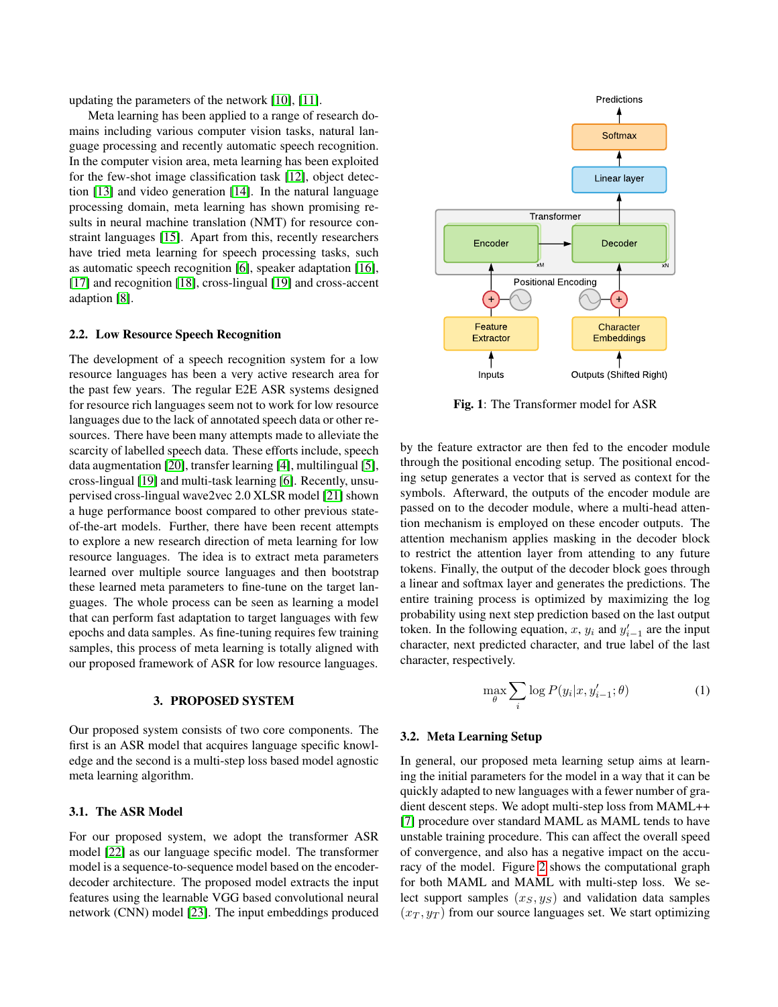updating the parameters of the network [\[10\]](#page-4-9), [\[11\]](#page-4-10).

Meta learning has been applied to a range of research domains including various computer vision tasks, natural language processing and recently automatic speech recognition. In the computer vision area, meta learning has been exploited for the few-shot image classification task [\[12\]](#page-4-11), object detection [\[13\]](#page-4-12) and video generation [\[14\]](#page-4-13). In the natural language processing domain, meta learning has shown promising results in neural machine translation (NMT) for resource constraint languages [\[15\]](#page-4-14). Apart from this, recently researchers have tried meta learning for speech processing tasks, such as automatic speech recognition [\[6\]](#page-4-5), speaker adaptation [\[16\]](#page-4-15), [\[17\]](#page-4-16) and recognition [\[18\]](#page-4-17), cross-lingual [\[19\]](#page-4-18) and cross-accent adaption [\[8\]](#page-4-7).

#### 2.2. Low Resource Speech Recognition

The development of a speech recognition system for a low resource languages has been a very active research area for the past few years. The regular E2E ASR systems designed for resource rich languages seem not to work for low resource languages due to the lack of annotated speech data or other resources. There have been many attempts made to alleviate the scarcity of labelled speech data. These efforts include, speech data augmentation [\[20\]](#page-4-19), transfer learning [\[4\]](#page-4-3), multilingual [\[5\]](#page-4-4), cross-lingual [\[19\]](#page-4-18) and multi-task learning [\[6\]](#page-4-5). Recently, unsupervised cross-lingual wave2vec 2.0 XLSR model [\[21\]](#page-4-20) shown a huge performance boost compared to other previous stateof-the-art models. Further, there have been recent attempts to explore a new research direction of meta learning for low resource languages. The idea is to extract meta parameters learned over multiple source languages and then bootstrap these learned meta parameters to fine-tune on the target languages. The whole process can be seen as learning a model that can perform fast adaptation to target languages with few epochs and data samples. As fine-tuning requires few training samples, this process of meta learning is totally aligned with our proposed framework of ASR for low resource languages.

#### 3. PROPOSED SYSTEM

Our proposed system consists of two core components. The first is an ASR model that acquires language specific knowledge and the second is a multi-step loss based model agnostic meta learning algorithm.

## 3.1. The ASR Model

For our proposed system, we adopt the transformer ASR model [\[22\]](#page-4-21) as our language specific model. The transformer model is a sequence-to-sequence model based on the encoderdecoder architecture. The proposed model extracts the input features using the learnable VGG based convolutional neural network (CNN) model [\[23\]](#page-4-22). The input embeddings produced



Fig. 1: The Transformer model for ASR

by the feature extractor are then fed to the encoder module through the positional encoding setup. The positional encoding setup generates a vector that is served as context for the symbols. Afterward, the outputs of the encoder module are passed on to the decoder module, where a multi-head attention mechanism is employed on these encoder outputs. The attention mechanism applies masking in the decoder block to restrict the attention layer from attending to any future tokens. Finally, the output of the decoder block goes through a linear and softmax layer and generates the predictions. The entire training process is optimized by maximizing the log probability using next step prediction based on the last output token. In the following equation, x,  $y_i$  and  $y'_{i-1}$  are the input character, next predicted character, and true label of the last character, respectively.

$$
\max_{\theta} \sum_{i} \log P(y_i | x, y'_{i-1}; \theta)
$$
 (1)

#### 3.2. Meta Learning Setup

In general, our proposed meta learning setup aims at learning the initial parameters for the model in a way that it can be quickly adapted to new languages with a fewer number of gradient descent steps. We adopt multi-step loss from MAML++ [\[7\]](#page-4-6) procedure over standard MAML as MAML tends to have unstable training procedure. This can affect the overall speed of convergence, and also has a negative impact on the accuracy of the model. Figure [2](#page-2-0) shows the computational graph for both MAML and MAML with multi-step loss. We select support samples  $(x_S, y_S)$  and validation data samples  $(x_T, y_T)$  from our source languages set. We start optimizing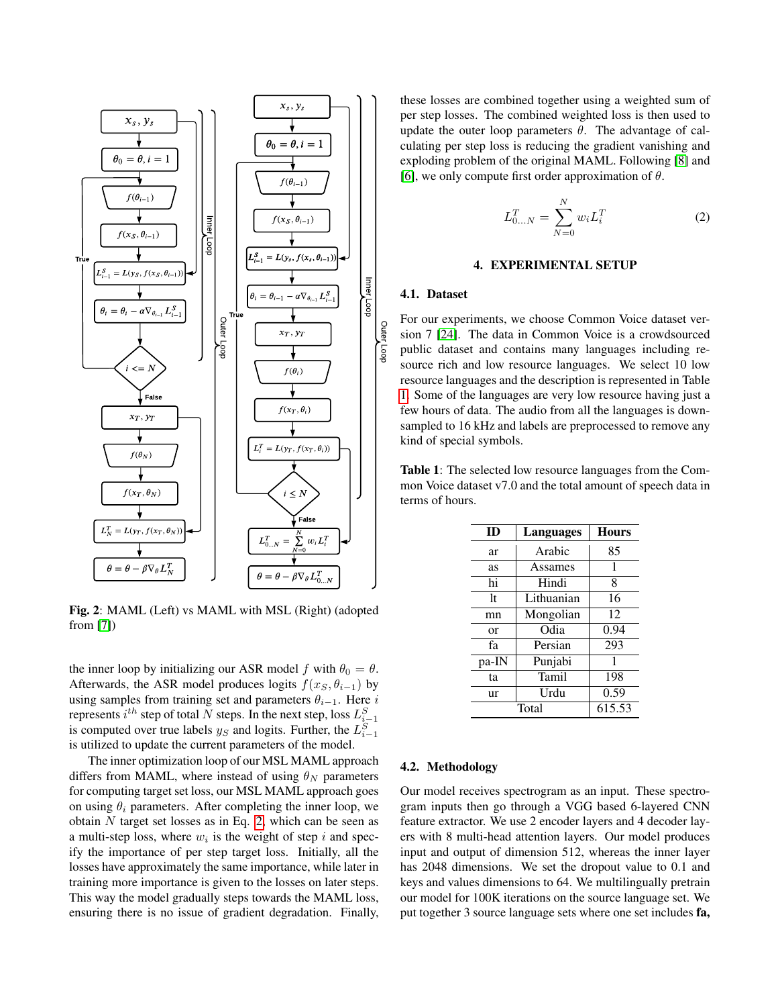<span id="page-2-0"></span>

Fig. 2: MAML (Left) vs MAML with MSL (Right) (adopted from [\[7\]](#page-4-6))

the inner loop by initializing our ASR model f with  $\theta_0 = \theta$ . Afterwards, the ASR model produces logits  $f(x_S, \theta_{i-1})$  by using samples from training set and parameters  $\theta_{i-1}$ . Here i represents  $i^{th}$  step of total  $N$  steps. In the next step, loss  $L_{i-1}^S$ is computed over true labels  $y_S$  and logits. Further, the  $L_{i-1}^S$ is utilized to update the current parameters of the model.

The inner optimization loop of our MSL MAML approach differs from MAML, where instead of using  $\theta_N$  parameters for computing target set loss, our MSL MAML approach goes on using  $\theta_i$  parameters. After completing the inner loop, we obtain  $N$  target set losses as in Eq. [2,](#page-2-1) which can be seen as a multi-step loss, where  $w_i$  is the weight of step i and specify the importance of per step target loss. Initially, all the losses have approximately the same importance, while later in training more importance is given to the losses on later steps. This way the model gradually steps towards the MAML loss, ensuring there is no issue of gradient degradation. Finally,

these losses are combined together using a weighted sum of per step losses. The combined weighted loss is then used to update the outer loop parameters  $\theta$ . The advantage of calculating per step loss is reducing the gradient vanishing and exploding problem of the original MAML. Following [\[8\]](#page-4-7) and [\[6\]](#page-4-5), we only compute first order approximation of  $\theta$ .

<span id="page-2-1"></span>
$$
L_{0...N}^T = \sum_{N=0}^N w_i L_i^T
$$
 (2)

#### 4. EXPERIMENTAL SETUP

### 4.1. Dataset

For our experiments, we choose Common Voice dataset version 7 [\[24\]](#page-4-23). The data in Common Voice is a crowdsourced public dataset and contains many languages including resource rich and low resource languages. We select 10 low resource languages and the description is represented in Table [1.](#page-2-2) Some of the languages are very low resource having just a few hours of data. The audio from all the languages is downsampled to 16 kHz and labels are preprocessed to remove any kind of special symbols.

<span id="page-2-2"></span>Table 1: The selected low resource languages from the Common Voice dataset v7.0 and the total amount of speech data in terms of hours.

| ID    | Languages  | <b>Hours</b> |  |  |  |
|-------|------------|--------------|--|--|--|
| ar    | Arabic     | 85           |  |  |  |
| as    | Assames    | 1            |  |  |  |
| hi    | Hindi      | 8            |  |  |  |
| 1t    | Lithuanian | 16           |  |  |  |
| mn    | Mongolian  | 12           |  |  |  |
| or    | Odia       | 0.94         |  |  |  |
| fa    | Persian    | 293          |  |  |  |
| pa-IN | Punjabi    | 1            |  |  |  |
| ta    | Tamil      | 198          |  |  |  |
| ur    | Urdu       | 0.59         |  |  |  |
|       | 615.53     |              |  |  |  |

#### 4.2. Methodology

Our model receives spectrogram as an input. These spectrogram inputs then go through a VGG based 6-layered CNN feature extractor. We use 2 encoder layers and 4 decoder layers with 8 multi-head attention layers. Our model produces input and output of dimension 512, whereas the inner layer has 2048 dimensions. We set the dropout value to 0.1 and keys and values dimensions to 64. We multilingually pretrain our model for 100K iterations on the source language set. We put together 3 source language sets where one set includes fa,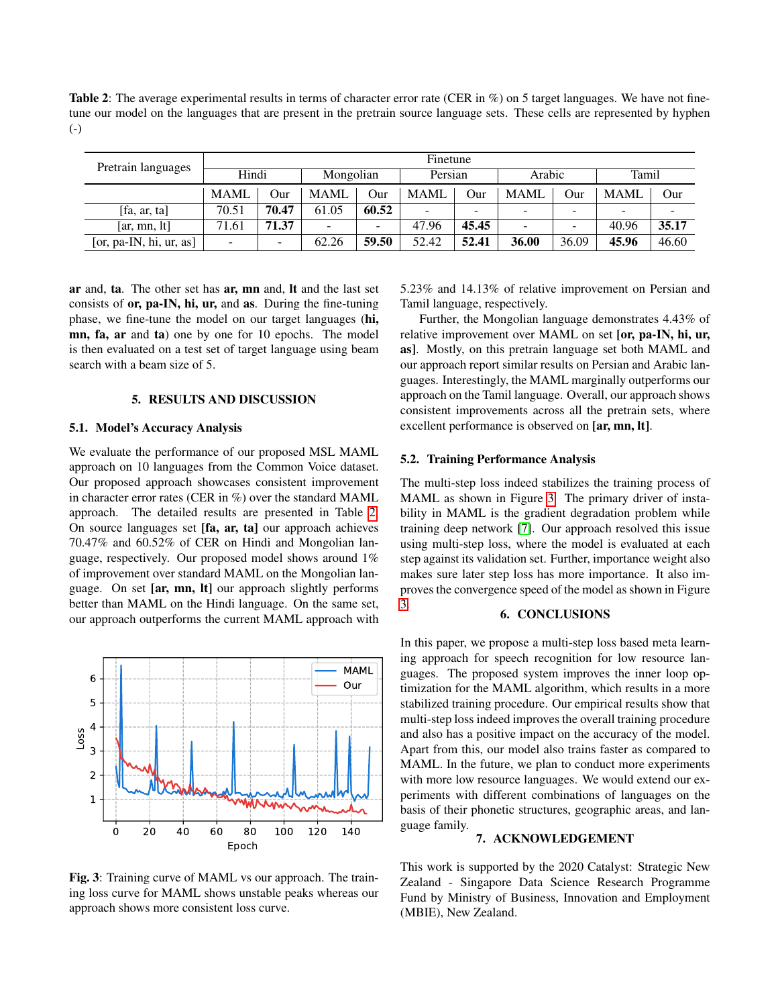<span id="page-3-0"></span>Table 2: The average experimental results in terms of character error rate (CER in %) on 5 target languages. We have not finetune our model on the languages that are present in the pretrain source language sets. These cells are represented by hyphen (-)

| Pretrain languages         | Finetune                 |       |       |           |       |         |             |        |             |       |  |
|----------------------------|--------------------------|-------|-------|-----------|-------|---------|-------------|--------|-------------|-------|--|
|                            |                          | Hindi |       | Mongolian |       | Persian |             | Arabic |             | Tamil |  |
|                            | <b>MAMI</b>              | Our   | MAML  | Our       | MAML  | Our     | <b>MAML</b> | Our    | <b>MAML</b> | Our   |  |
| [fa, ar, ta]               | 70.51                    | 70.47 | 61.05 | 60.52     | ۰     | -       |             |        |             |       |  |
| $\left[ar, mn, lt\right]$  | 71.61                    | 71.37 | -     |           | 47.96 | 45.45   | -           |        | 40.96       | 35.17 |  |
| [or, pa-IN, hi, $ur$ , as] | $\overline{\phantom{0}}$ |       | 62.26 | 59.50     | 52.42 | 52.41   | 36.00       | 36.09  | 45.96       | 46.60 |  |

ar and, ta. The other set has ar, mn and, lt and the last set consists of or, pa-IN, hi, ur, and as. During the fine-tuning phase, we fine-tune the model on our target languages (hi, mn, fa, ar and ta) one by one for 10 epochs. The model is then evaluated on a test set of target language using beam search with a beam size of 5.

# 5. RESULTS AND DISCUSSION

### 5.1. Model's Accuracy Analysis

We evaluate the performance of our proposed MSL MAML approach on 10 languages from the Common Voice dataset. Our proposed approach showcases consistent improvement in character error rates (CER in %) over the standard MAML approach. The detailed results are presented in Table [2.](#page-3-0) On source languages set [fa, ar, ta] our approach achieves 70.47% and 60.52% of CER on Hindi and Mongolian language, respectively. Our proposed model shows around 1% of improvement over standard MAML on the Mongolian language. On set [ar, mn, lt] our approach slightly performs better than MAML on the Hindi language. On the same set, our approach outperforms the current MAML approach with

<span id="page-3-1"></span>

Fig. 3: Training curve of MAML vs our approach. The training loss curve for MAML shows unstable peaks whereas our approach shows more consistent loss curve.

5.23% and 14.13% of relative improvement on Persian and Tamil language, respectively.

Further, the Mongolian language demonstrates 4.43% of relative improvement over MAML on set [or, pa-IN, hi, ur, as]. Mostly, on this pretrain language set both MAML and our approach report similar results on Persian and Arabic languages. Interestingly, the MAML marginally outperforms our approach on the Tamil language. Overall, our approach shows consistent improvements across all the pretrain sets, where excellent performance is observed on [ar, mn, lt].

#### 5.2. Training Performance Analysis

The multi-step loss indeed stabilizes the training process of MAML as shown in Figure [3.](#page-3-1) The primary driver of instability in MAML is the gradient degradation problem while training deep network [\[7\]](#page-4-6). Our approach resolved this issue using multi-step loss, where the model is evaluated at each step against its validation set. Further, importance weight also makes sure later step loss has more importance. It also improves the convergence speed of the model as shown in Figure [3.](#page-3-1)

## 6. CONCLUSIONS

In this paper, we propose a multi-step loss based meta learning approach for speech recognition for low resource languages. The proposed system improves the inner loop optimization for the MAML algorithm, which results in a more stabilized training procedure. Our empirical results show that multi-step loss indeed improves the overall training procedure and also has a positive impact on the accuracy of the model. Apart from this, our model also trains faster as compared to MAML. In the future, we plan to conduct more experiments with more low resource languages. We would extend our experiments with different combinations of languages on the basis of their phonetic structures, geographic areas, and language family.

## 7. ACKNOWLEDGEMENT

This work is supported by the 2020 Catalyst: Strategic New Zealand - Singapore Data Science Research Programme Fund by Ministry of Business, Innovation and Employment (MBIE), New Zealand.